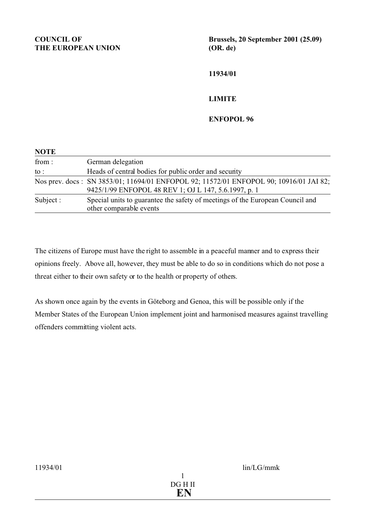**Brussels, 20 September 2001 (25.09) (OR. de)**

**11934/01**

## **LIMITE**

**ENFOPOL 96**

| <b>NOTE</b> |                                                                                                                                                |
|-------------|------------------------------------------------------------------------------------------------------------------------------------------------|
| from:       | German delegation                                                                                                                              |
| to :        | Heads of central bodies for public order and security                                                                                          |
|             | Nos prev. docs: SN 3853/01; 11694/01 ENFOPOL 92; 11572/01 ENFOPOL 90; 10916/01 JAI 82;<br>9425/1/99 ENFOPOL 48 REV 1; OJ L 147, 5.6.1997, p. 1 |
| Subject :   | Special units to guarantee the safety of meetings of the European Council and<br>other comparable events                                       |

The citizens of Europe must have the right to assemble in a peaceful manner and to express their opinions freely. Above all, however, they must be able to do so in conditions which do not pose a threat either to their own safety or to the health or property of others.

As shown once again by the events in Göteborg and Genoa, this will be possible only if the Member States of the European Union implement joint and harmonised measures against travelling offenders committing violent acts.

## 1 DG H II  **EN**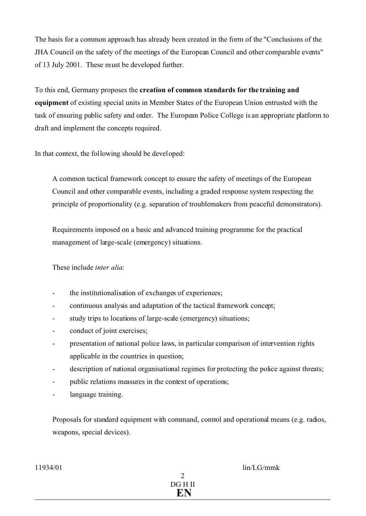The basis for a common approach has already been created in the form of the "Conclusions of the JHA Council on the safety of the meetings of the European Council and other comparable events" of 13 July 2001. These must be developed further.

To this end, Germany proposes the **creation of common standards for the training and equipment** of existing special units in Member States of the European Union entrusted with the task of ensuring public safety and order. The European Police College is an appropriate platform to draft and implement the concepts required.

In that context, the following should be developed:

A common tactical framework concept to ensure the safety of meetings of the European Council and other comparable events, including a graded response system respecting the principle of proportionality (e.g. separation of troublemakers from peaceful demonstrators).

Requirements imposed on a basic and advanced training programme for the practical management of large-scale (emergency) situations.

These include *inter alia*:

- the institutionalisation of exchanges of experiences;
- continuous analysis and adaptation of the tactical framework concept;
- study trips to locations of large-scale (emergency) situations;
- conduct of joint exercises;
- presentation of national police laws, in particular comparison of intervention rights applicable in the countries in question;
- description of national organisational regimes for protecting the police against threats;
- public relations measures in the context of operations;
- language training.

Proposals for standard equipment with command, control and operational means (e.g. radios, weapons, special devices).

 $11934/01$   $\qquad \qquad$   $\qquad \qquad$   $\qquad$   $\qquad \qquad$   $\qquad$   $\qquad$   $\qquad$   $\qquad$   $\qquad$   $\qquad$   $\qquad$   $\qquad$   $\qquad$   $\qquad$   $\qquad$   $\qquad$   $\qquad$   $\qquad$   $\qquad$   $\qquad$   $\qquad$   $\qquad$   $\qquad$   $\qquad$   $\qquad$   $\qquad$   $\qquad$   $\qquad$   $\qquad$   $\qquad$   $\qquad$   $\qquad$   $\qquad$   $\q$